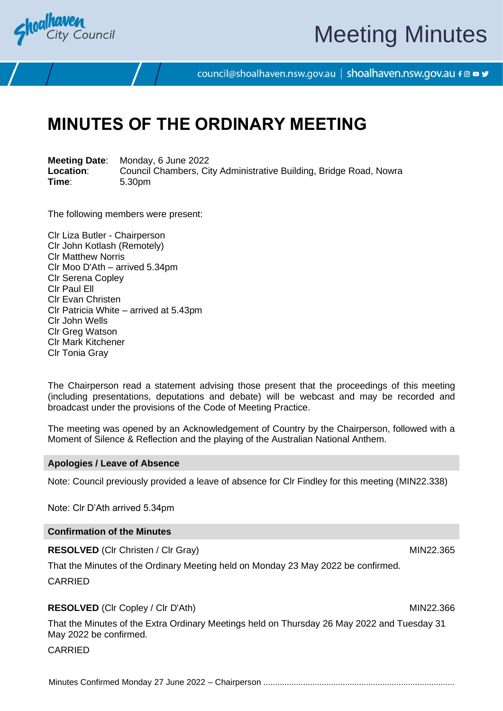

# Meeting Minutes

council@shoalhaven.nsw.gov.au | shoalhaven.nsw.gov.au f @ ■ y

# **MINUTES OF THE ORDINARY MEETING**

**Meeting Date**: Monday, 6 June 2022 **Location:** Council Chambers, City Administrative Building, Bridge Road, Nowra **Time**: 5.30pm

The following members were present:

Clr Liza Butler - Chairperson Clr John Kotlash (Remotely) Clr Matthew Norris Clr Moo D'Ath – arrived 5.34pm Clr Serena Copley Clr Paul Ell Clr Evan Christen Clr Patricia White – arrived at 5.43pm Clr John Wells Clr Greg Watson Clr Mark Kitchener Clr Tonia Gray

The Chairperson read a statement advising those present that the proceedings of this meeting (including presentations, deputations and debate) will be webcast and may be recorded and broadcast under the provisions of the Code of Meeting Practice.

The meeting was opened by an Acknowledgement of Country by the Chairperson, followed with a Moment of Silence & Reflection and the playing of the Australian National Anthem.

#### **Apologies / Leave of Absence**

Note: Council previously provided a leave of absence for Clr Findley for this meeting (MIN22.338)

Note: Clr D'Ath arrived 5.34pm

#### **Confirmation of the Minutes**

**RESOLVED** (CIr Christen / CIr Gray) MIN22.365

That the Minutes of the Ordinary Meeting held on Monday 23 May 2022 be confirmed.

CARRIED

#### **RESOLVED** (CIr Copley / CIr D'Ath) MIN22.366

That the Minutes of the Extra Ordinary Meetings held on Thursday 26 May 2022 and Tuesday 31 May 2022 be confirmed.

CARRIED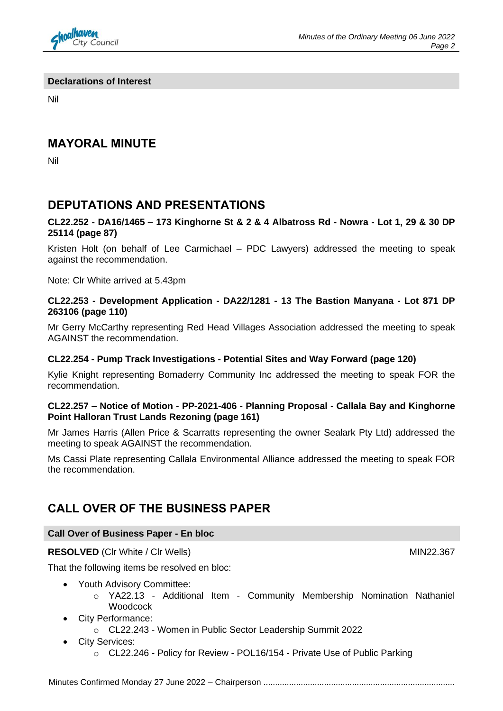

**Declarations of Interest**

Nil

#### **MAYORAL MINUTE**

Nil

# **DEPUTATIONS AND PRESENTATIONS**

#### **CL22.252 - DA16/1465 – 173 Kinghorne St & 2 & 4 Albatross Rd - Nowra - Lot 1, 29 & 30 DP 25114 (page 87)**

Kristen Holt (on behalf of Lee Carmichael – PDC Lawyers) addressed the meeting to speak against the recommendation.

Note: Clr White arrived at 5.43pm

#### **CL22.253 - Development Application - DA22/1281 - 13 The Bastion Manyana - Lot 871 DP 263106 (page 110)**

Mr Gerry McCarthy representing Red Head Villages Association addressed the meeting to speak AGAINST the recommendation.

#### **CL22.254 - Pump Track Investigations - Potential Sites and Way Forward (page 120)**

Kylie Knight representing Bomaderry Community Inc addressed the meeting to speak FOR the recommendation.

#### **CL22.257 – Notice of Motion - PP-2021-406 - Planning Proposal - Callala Bay and Kinghorne Point Halloran Trust Lands Rezoning (page 161)**

Mr James Harris (Allen Price & Scarratts representing the owner Sealark Pty Ltd) addressed the meeting to speak AGAINST the recommendation.

Ms Cassi Plate representing Callala Environmental Alliance addressed the meeting to speak FOR the recommendation.

## **CALL OVER OF THE BUSINESS PAPER**

#### **Call Over of Business Paper - En bloc**

#### **RESOLVED** (CIr White / Cir Wells) MIN22.367

That the following items be resolved en bloc:

- Youth Advisory Committee:
	- o YA22.13 Additional Item Community Membership Nomination Nathaniel **Woodcock**
- City Performance:
	- o CL22.243 Women in Public Sector Leadership Summit 2022
- City Services:
	- o CL22.246 Policy for Review POL16/154 Private Use of Public Parking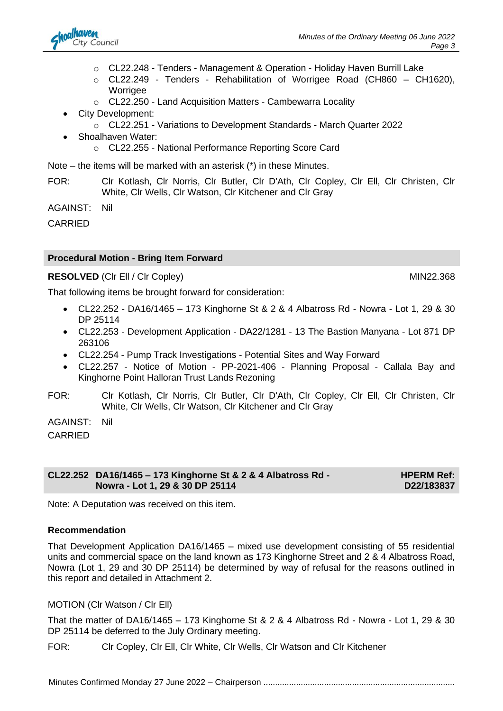

- o CL22.248 Tenders Management & Operation Holiday Haven Burrill Lake
- o CL22.249 Tenders Rehabilitation of Worrigee Road (CH860 CH1620), **Worrigee**
- o CL22.250 Land Acquisition Matters Cambewarra Locality
- City Development:
	- o CL22.251 Variations to Development Standards March Quarter 2022
- Shoalhaven Water:
	- o CL22.255 National Performance Reporting Score Card

Note – the items will be marked with an asterisk (\*) in these Minutes.

FOR: Clr Kotlash, Clr Norris, Clr Butler, Clr D'Ath, Clr Copley, Clr Ell, Clr Christen, Clr White, Clr Wells, Clr Watson, Clr Kitchener and Clr Gray

AGAINST: Nil

**CARRIED** 

#### **Procedural Motion - Bring Item Forward**

**RESOLVED** (CIr Ell / Cir Copley) MIN22.368

That following items be brought forward for consideration:

- CL22.252 DA16/1465 173 Kinghorne St & 2 & 4 Albatross Rd Nowra Lot 1, 29 & 30 DP 25114
- CL22.253 Development Application DA22/1281 13 The Bastion Manyana Lot 871 DP 263106
- CL22.254 Pump Track Investigations Potential Sites and Way Forward
- CL22.257 Notice of Motion PP-2021-406 Planning Proposal Callala Bay and Kinghorne Point Halloran Trust Lands Rezoning
- FOR: Clr Kotlash, Clr Norris, Clr Butler, Clr D'Ath, Clr Copley, Clr Ell, Clr Christen, Clr White, Clr Wells, Clr Watson, Clr Kitchener and Clr Gray

AGAINST: Nil CARRIED

| CL22.252 DA16/1465 – 173 Kinghorne St & 2 & 4 Albatross Rd - |
|--------------------------------------------------------------|
| Nowra - Lot 1, 29 & 30 DP 25114                              |

**HPERM Ref: D22/183837**

Note: A Deputation was received on this item.

#### **Recommendation**

That Development Application DA16/1465 – mixed use development consisting of 55 residential units and commercial space on the land known as 173 Kinghorne Street and 2 & 4 Albatross Road, Nowra (Lot 1, 29 and 30 DP 25114) be determined by way of refusal for the reasons outlined in this report and detailed in Attachment 2.

#### MOTION (Clr Watson / Clr Ell)

That the matter of DA16/1465 – 173 Kinghorne St &  $2 \& 4$  Albatross Rd - Nowra - Lot 1, 29 & 30 DP 25114 be deferred to the July Ordinary meeting.

FOR: Clr Copley, Clr Ell, Clr White, Clr Wells, Clr Watson and Clr Kitchener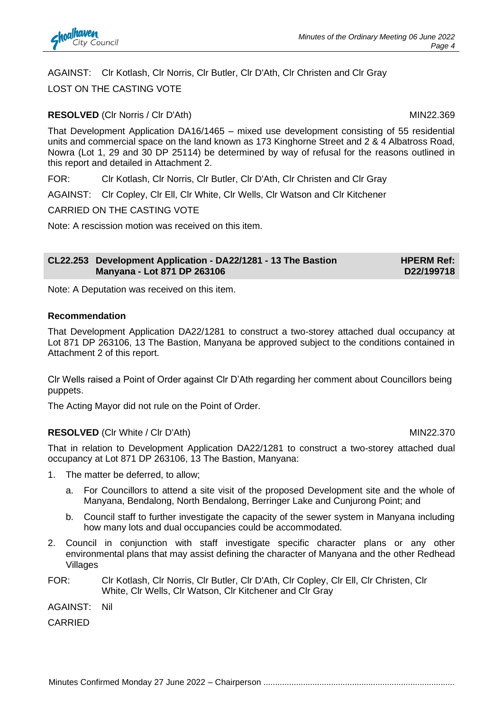

AGAINST: Clr Kotlash, Clr Norris, Clr Butler, Clr D'Ath, Clr Christen and Clr Gray LOST ON THE CASTING VOTE

#### **RESOLVED** (CIr Norris / CIr D'Ath) MIN22.369

That Development Application DA16/1465 – mixed use development consisting of 55 residential units and commercial space on the land known as 173 Kinghorne Street and 2 & 4 Albatross Road, Nowra (Lot 1, 29 and 30 DP 25114) be determined by way of refusal for the reasons outlined in this report and detailed in Attachment 2.

FOR: Clr Kotlash, Clr Norris, Clr Butler, Clr D'Ath, Clr Christen and Clr Gray

AGAINST: Clr Copley, Clr Ell, Clr White, Clr Wells, Clr Watson and Clr Kitchener

CARRIED ON THE CASTING VOTE

Note: A rescission motion was received on this item.

**CL22.253 Development Application - DA22/1281 - 13 The Bastion Manyana - Lot 871 DP 263106 HPERM Ref: D22/199718**

Note: A Deputation was received on this item.

#### **Recommendation**

That Development Application DA22/1281 to construct a two-storey attached dual occupancy at Lot 871 DP 263106, 13 The Bastion, Manyana be approved subject to the conditions contained in Attachment 2 of this report.

Clr Wells raised a Point of Order against Clr D'Ath regarding her comment about Councillors being puppets.

The Acting Mayor did not rule on the Point of Order.

#### **RESOLVED** (CIr White / CIr D'Ath) MIN22.370

That in relation to Development Application DA22/1281 to construct a two-storey attached dual occupancy at Lot 871 DP 263106, 13 The Bastion, Manyana:

- 1. The matter be deferred, to allow;
	- a. For Councillors to attend a site visit of the proposed Development site and the whole of Manyana, Bendalong, North Bendalong, Berringer Lake and Cunjurong Point; and
	- b. Council staff to further investigate the capacity of the sewer system in Manyana including how many lots and dual occupancies could be accommodated.
- 2. Council in conjunction with staff investigate specific character plans or any other environmental plans that may assist defining the character of Manyana and the other Redhead Villages
- FOR: Clr Kotlash, Clr Norris, Clr Butler, Clr D'Ath, Clr Copley, Clr Ell, Clr Christen, Clr White, Clr Wells, Clr Watson, Clr Kitchener and Clr Gray
- AGAINST: Nil
- CARRIED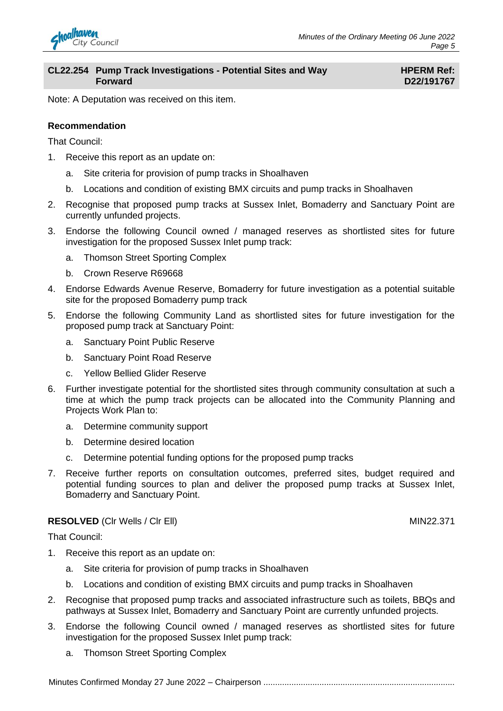

#### **CL22.254 Pump Track Investigations - Potential Sites and Way Forward**

#### **HPERM Ref: D22/191767**

Note: A Deputation was received on this item.

#### **Recommendation**

That Council:

- 1. Receive this report as an update on:
	- a. Site criteria for provision of pump tracks in Shoalhaven
	- b. Locations and condition of existing BMX circuits and pump tracks in Shoalhaven
- 2. Recognise that proposed pump tracks at Sussex Inlet, Bomaderry and Sanctuary Point are currently unfunded projects.
- 3. Endorse the following Council owned / managed reserves as shortlisted sites for future investigation for the proposed Sussex Inlet pump track:
	- a. Thomson Street Sporting Complex
	- b. Crown Reserve R69668
- 4. Endorse Edwards Avenue Reserve, Bomaderry for future investigation as a potential suitable site for the proposed Bomaderry pump track
- 5. Endorse the following Community Land as shortlisted sites for future investigation for the proposed pump track at Sanctuary Point:
	- a. Sanctuary Point Public Reserve
	- b. Sanctuary Point Road Reserve
	- c. Yellow Bellied Glider Reserve
- 6. Further investigate potential for the shortlisted sites through community consultation at such a time at which the pump track projects can be allocated into the Community Planning and Projects Work Plan to:
	- a. Determine community support
	- b. Determine desired location
	- c. Determine potential funding options for the proposed pump tracks
- 7. Receive further reports on consultation outcomes, preferred sites, budget required and potential funding sources to plan and deliver the proposed pump tracks at Sussex Inlet, Bomaderry and Sanctuary Point.

#### **RESOLVED** (Cir Wells / Cir Ell) MIN22.371

That Council:

- 1. Receive this report as an update on:
	- a. Site criteria for provision of pump tracks in Shoalhaven
	- b. Locations and condition of existing BMX circuits and pump tracks in Shoalhaven
- 2. Recognise that proposed pump tracks and associated infrastructure such as toilets, BBQs and pathways at Sussex Inlet, Bomaderry and Sanctuary Point are currently unfunded projects.
- 3. Endorse the following Council owned / managed reserves as shortlisted sites for future investigation for the proposed Sussex Inlet pump track:
	- a. Thomson Street Sporting Complex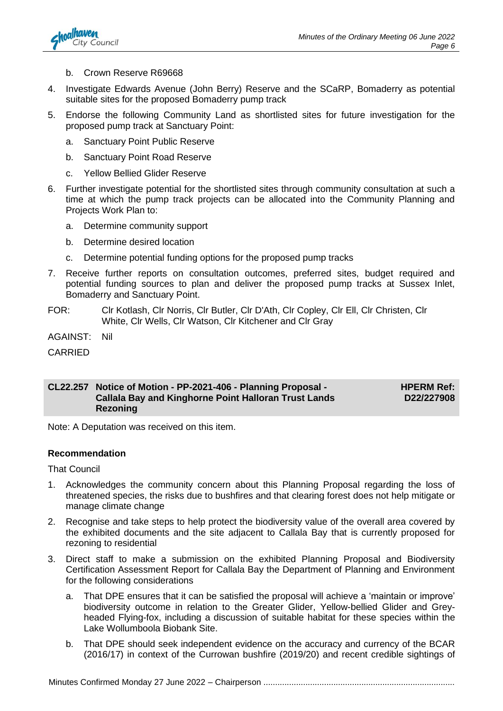

- b. Crown Reserve R69668
- 4. Investigate Edwards Avenue (John Berry) Reserve and the SCaRP, Bomaderry as potential suitable sites for the proposed Bomaderry pump track
- 5. Endorse the following Community Land as shortlisted sites for future investigation for the proposed pump track at Sanctuary Point:
	- a. Sanctuary Point Public Reserve
	- b. Sanctuary Point Road Reserve
	- c. Yellow Bellied Glider Reserve
- 6. Further investigate potential for the shortlisted sites through community consultation at such a time at which the pump track projects can be allocated into the Community Planning and Projects Work Plan to:
	- a. Determine community support
	- b. Determine desired location
	- c. Determine potential funding options for the proposed pump tracks
- 7. Receive further reports on consultation outcomes, preferred sites, budget required and potential funding sources to plan and deliver the proposed pump tracks at Sussex Inlet, Bomaderry and Sanctuary Point.
- FOR: Clr Kotlash, Clr Norris, Clr Butler, Clr D'Ath, Clr Copley, Clr Ell, Clr Christen, Clr White, Clr Wells, Clr Watson, Clr Kitchener and Clr Gray

AGAINST: Nil

CARRIED

#### **CL22.257 Notice of Motion - PP-2021-406 - Planning Proposal - Callala Bay and Kinghorne Point Halloran Trust Lands Rezoning HPERM Ref: D22/227908**

Note: A Deputation was received on this item.

#### **Recommendation**

That Council

- 1. Acknowledges the community concern about this Planning Proposal regarding the loss of threatened species, the risks due to bushfires and that clearing forest does not help mitigate or manage climate change
- 2. Recognise and take steps to help protect the biodiversity value of the overall area covered by the exhibited documents and the site adjacent to Callala Bay that is currently proposed for rezoning to residential
- 3. Direct staff to make a submission on the exhibited Planning Proposal and Biodiversity Certification Assessment Report for Callala Bay the Department of Planning and Environment for the following considerations
	- a. That DPE ensures that it can be satisfied the proposal will achieve a 'maintain or improve' biodiversity outcome in relation to the Greater Glider, Yellow-bellied Glider and Greyheaded Flying-fox, including a discussion of suitable habitat for these species within the Lake Wollumboola Biobank Site.
	- b. That DPE should seek independent evidence on the accuracy and currency of the BCAR (2016/17) in context of the Currowan bushfire (2019/20) and recent credible sightings of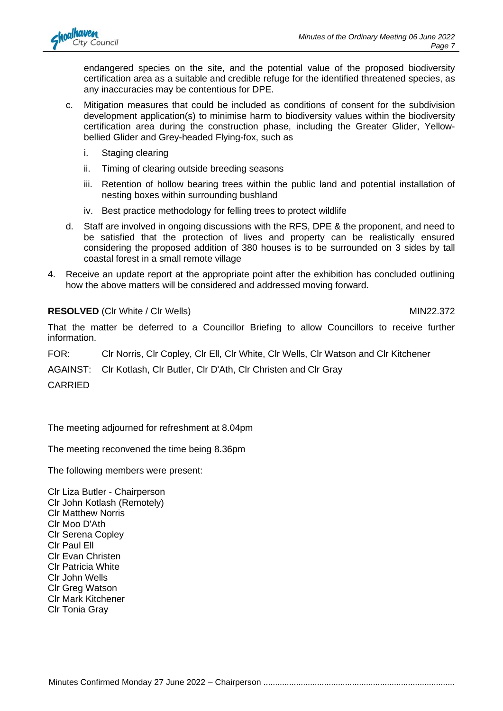endangered species on the site, and the potential value of the proposed biodiversity certification area as a suitable and credible refuge for the identified threatened species, as any inaccuracies may be contentious for DPE.

- c. Mitigation measures that could be included as conditions of consent for the subdivision development application(s) to minimise harm to biodiversity values within the biodiversity certification area during the construction phase, including the Greater Glider, Yellowbellied Glider and Grey-headed Flying-fox, such as
	- i. Staging clearing
	- ii. Timing of clearing outside breeding seasons
	- iii. Retention of hollow bearing trees within the public land and potential installation of nesting boxes within surrounding bushland
	- iv. Best practice methodology for felling trees to protect wildlife
- d. Staff are involved in ongoing discussions with the RFS, DPE & the proponent, and need to be satisfied that the protection of lives and property can be realistically ensured considering the proposed addition of 380 houses is to be surrounded on 3 sides by tall coastal forest in a small remote village
- 4. Receive an update report at the appropriate point after the exhibition has concluded outlining how the above matters will be considered and addressed moving forward.

#### **RESOLVED** (CIr White / CIr Wells) MIN22.372

That the matter be deferred to a Councillor Briefing to allow Councillors to receive further information.

FOR: Clr Norris, Clr Copley, Clr Ell, Clr White, Clr Wells, Clr Watson and Clr Kitchener

AGAINST: Clr Kotlash, Clr Butler, Clr D'Ath, Clr Christen and Clr Gray

CARRIED

The meeting adjourned for refreshment at 8.04pm

The meeting reconvened the time being 8.36pm

The following members were present:

Clr Liza Butler - Chairperson Clr John Kotlash (Remotely) Clr Matthew Norris Clr Moo D'Ath Clr Serena Copley Clr Paul Ell Clr Evan Christen Clr Patricia White Clr John Wells Clr Greg Watson Clr Mark Kitchener Clr Tonia Gray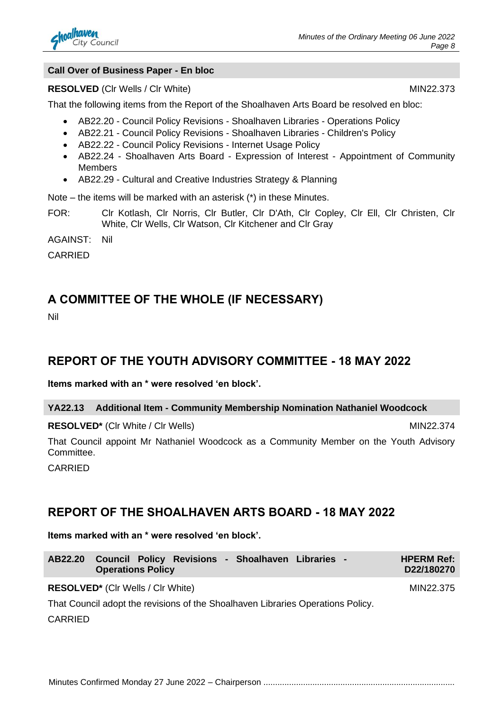

#### **Call Over of Business Paper - En bloc**

#### **RESOLVED** (CIr Wells / CIr White) MIN22.373

That the following items from the Report of the Shoalhaven Arts Board be resolved en bloc:

- AB22.20 Council Policy Revisions Shoalhaven Libraries Operations Policy
- AB22.21 Council Policy Revisions Shoalhaven Libraries Children's Policy
- AB22.22 Council Policy Revisions Internet Usage Policy
- AB22.24 Shoalhaven Arts Board Expression of Interest Appointment of Community Members
- AB22.29 Cultural and Creative Industries Strategy & Planning

Note – the items will be marked with an asterisk (\*) in these Minutes.

FOR: Clr Kotlash, Clr Norris, Clr Butler, Clr D'Ath, Clr Copley, Clr Ell, Clr Christen, Clr White, Clr Wells, Clr Watson, Clr Kitchener and Clr Gray

AGAINST: Nil

CARRIED

# **A COMMITTEE OF THE WHOLE (IF NECESSARY)**

Nil

#### **REPORT OF THE YOUTH ADVISORY COMMITTEE - 18 MAY 2022**

**Items marked with an \* were resolved 'en block'.**

#### **YA22.13 Additional Item - Community Membership Nomination Nathaniel Woodcock**

**RESOLVED\*** (CIr White / CIr Wells) MIN22.374

That Council appoint Mr Nathaniel Woodcock as a Community Member on the Youth Advisory Committee.

CARRIED

#### **REPORT OF THE SHOALHAVEN ARTS BOARD - 18 MAY 2022**

**Items marked with an \* were resolved 'en block'.**

| AB22.20        | Council Policy Revisions - Shoalhaven Libraries -<br><b>Operations Policy</b>   | <b>HPERM Ref:</b><br>D22/180270 |
|----------------|---------------------------------------------------------------------------------|---------------------------------|
|                | <b>RESOLVED*</b> (CIr Wells / CIr White)                                        | MIN22.375                       |
|                | That Council adopt the revisions of the Shoalhaven Libraries Operations Policy. |                                 |
| <b>CARRIED</b> |                                                                                 |                                 |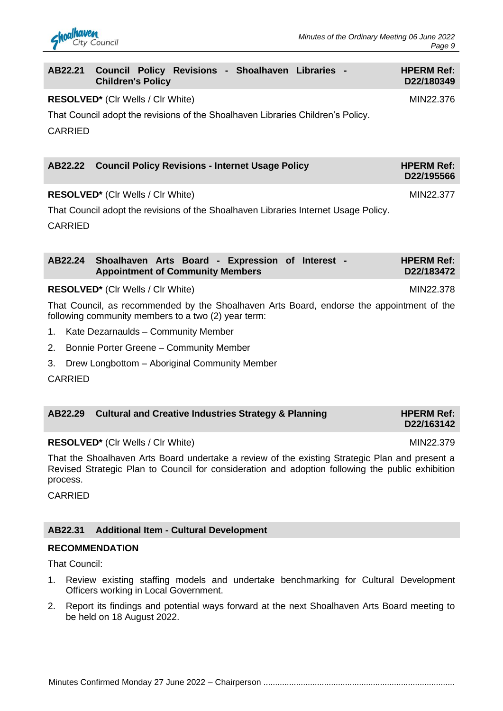| AB22.21 Council Policy Revisions - Shoalhaven Libraries -<br><b>Children's Policy</b> |  |  | <b>HPERM Ref:</b><br>D22/180349 |
|---------------------------------------------------------------------------------------|--|--|---------------------------------|
| R                                                                                     |  |  | MIRIORO72                       |

**RESOLVED\*** (CIr Wells / CIr White) MIN22.376

That Council adopt the revisions of the Shoalhaven Libraries Children's Policy.

CARRIED

| AB22.22 Council Policy Revisions - Internet Usage Policy | <b>HPERM Ref:</b> |
|----------------------------------------------------------|-------------------|
|                                                          | D22/195566        |

#### **RESOLVED<sup>\*</sup>** (Clr Wells / Clr White) MIN22.377

That Council adopt the revisions of the Shoalhaven Libraries Internet Usage Policy.

CARRIED

| AB22.24 Shoalhaven Arts Board - Expression of Interest - |  |  |  | <b>HPERM Ref:</b> |
|----------------------------------------------------------|--|--|--|-------------------|
| <b>Appointment of Community Members</b>                  |  |  |  | D22/183472        |

#### **RESOLVED\*** (CIr Wells / CIr White) MIN22.378

That Council, as recommended by the Shoalhaven Arts Board, endorse the appointment of the following community members to a two (2) year term:

- 1. Kate Dezarnaulds Community Member
- 2. Bonnie Porter Greene Community Member
- 3. Drew Longbottom Aboriginal Community Member

CARRIED

| AB22.29 Cultural and Creative Industries Strategy & Planning | <b>HPERM Ref:</b> |
|--------------------------------------------------------------|-------------------|
|                                                              | D22/163142        |

#### **RESOLVED<sup>\*</sup>** (Clr Wells / Clr White) MIN22.379

That the Shoalhaven Arts Board undertake a review of the existing Strategic Plan and present a Revised Strategic Plan to Council for consideration and adoption following the public exhibition process.

CARRIED

#### **AB22.31 Additional Item - Cultural Development**

#### **RECOMMENDATION**

That Council:

- 1. Review existing staffing models and undertake benchmarking for Cultural Development Officers working in Local Government.
- 2. Report its findings and potential ways forward at the next Shoalhaven Arts Board meeting to be held on 18 August 2022.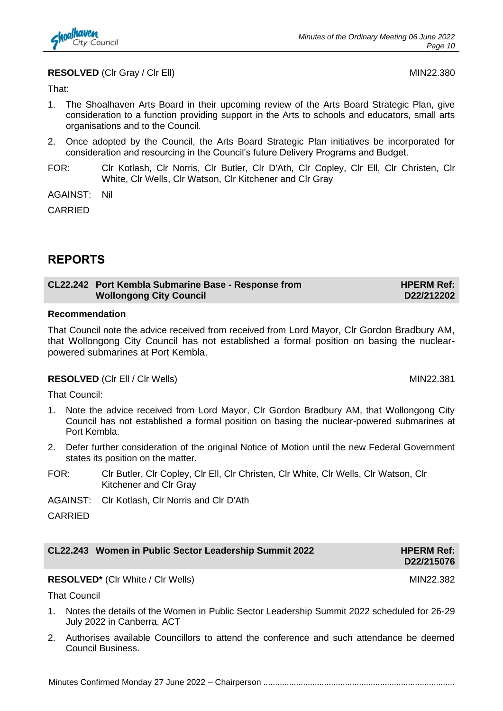

#### **RESOLVED** (CIr Gray / CIr Ell) MIN22.380

That:

- 1. The Shoalhaven Arts Board in their upcoming review of the Arts Board Strategic Plan, give consideration to a function providing support in the Arts to schools and educators, small arts organisations and to the Council.
- 2. Once adopted by the Council, the Arts Board Strategic Plan initiatives be incorporated for consideration and resourcing in the Council's future Delivery Programs and Budget.
- FOR: Clr Kotlash, Clr Norris, Clr Butler, Clr D'Ath, Clr Copley, Clr Ell, Clr Christen, Clr White, Clr Wells, Clr Watson, Clr Kitchener and Clr Gray

AGAINST: Nil

CARRIED

#### **REPORTS**

| CL22.242 Port Kembla Submarine Base - Response from | <b>HPERM Ref:</b> |
|-----------------------------------------------------|-------------------|
| <b>Wollongong City Council</b>                      | D22/212202        |

#### **Recommendation**

That Council note the advice received from received from Lord Mayor, Clr Gordon Bradbury AM, that Wollongong City Council has not established a formal position on basing the nuclearpowered submarines at Port Kembla.

#### **RESOLVED** (CIr Ell / Cir Wells) MIN22.381

That Council:

- 1. Note the advice received from Lord Mayor, Clr Gordon Bradbury AM, that Wollongong City Council has not established a formal position on basing the nuclear-powered submarines at Port Kembla.
- 2. Defer further consideration of the original Notice of Motion until the new Federal Government states its position on the matter.
- FOR: Clr Butler, Clr Copley, Clr Ell, Clr Christen, Clr White, Clr Wells, Clr Watson, Clr Kitchener and Clr Gray
- AGAINST: Clr Kotlash, Clr Norris and Clr D'Ath

CARRIED

|  |  | CL22.243 Women in Public Sector Leadership Summit 2022 |  |  |
|--|--|--------------------------------------------------------|--|--|
|--|--|--------------------------------------------------------|--|--|

**RESOLVED<sup>\*</sup>** (Clr White / Clr Wells) MIN22.382

That Council

- 1. Notes the details of the Women in Public Sector Leadership Summit 2022 scheduled for 26-29 July 2022 in Canberra, ACT
- 2. Authorises available Councillors to attend the conference and such attendance be deemed Council Business.

Minutes Confirmed Monday 27 June 2022 – Chairperson ..................................................................................

**D22/215076**

**HPERM Ref:**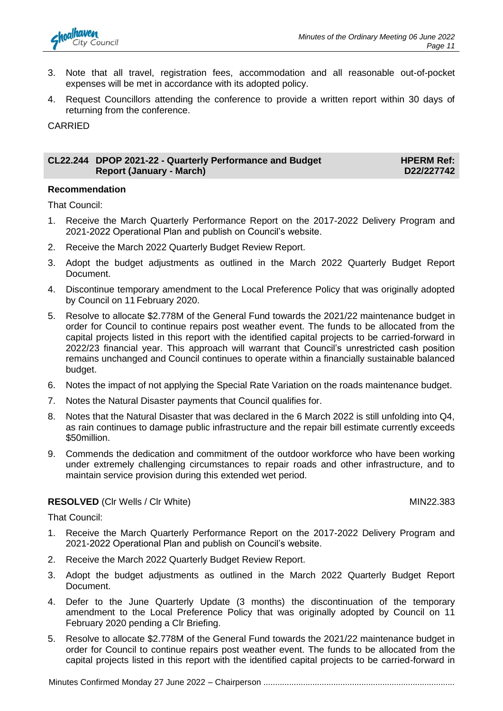

- 3. Note that all travel, registration fees, accommodation and all reasonable out-of-pocket expenses will be met in accordance with its adopted policy.
- 4. Request Councillors attending the conference to provide a written report within 30 days of returning from the conference.

CARRIED

#### **CL22.244 DPOP 2021-22 - Quarterly Performance and Budget Report (January - March) HPERM Ref: D22/227742**

#### **Recommendation**

That Council:

- 1. Receive the March Quarterly Performance Report on the 2017-2022 Delivery Program and 2021-2022 Operational Plan and publish on Council's website.
- 2. Receive the March 2022 Quarterly Budget Review Report.
- 3. Adopt the budget adjustments as outlined in the March 2022 Quarterly Budget Report Document.
- 4. Discontinue temporary amendment to the Local Preference Policy that was originally adopted by Council on 11 February 2020.
- 5. Resolve to allocate \$2.778M of the General Fund towards the 2021/22 maintenance budget in order for Council to continue repairs post weather event. The funds to be allocated from the capital projects listed in this report with the identified capital projects to be carried-forward in 2022/23 financial year. This approach will warrant that Council's unrestricted cash position remains unchanged and Council continues to operate within a financially sustainable balanced budget.
- 6. Notes the impact of not applying the Special Rate Variation on the roads maintenance budget.
- 7. Notes the Natural Disaster payments that Council qualifies for.
- 8. Notes that the Natural Disaster that was declared in the 6 March 2022 is still unfolding into Q4, as rain continues to damage public infrastructure and the repair bill estimate currently exceeds \$50million.
- 9. Commends the dedication and commitment of the outdoor workforce who have been working under extremely challenging circumstances to repair roads and other infrastructure, and to maintain service provision during this extended wet period.

#### **RESOLVED** (CIr Wells / CIr White) MIN22.383

That Council:

- 1. Receive the March Quarterly Performance Report on the 2017-2022 Delivery Program and 2021-2022 Operational Plan and publish on Council's website.
- 2. Receive the March 2022 Quarterly Budget Review Report.
- 3. Adopt the budget adjustments as outlined in the March 2022 Quarterly Budget Report Document.
- 4. Defer to the June Quarterly Update (3 months) the discontinuation of the temporary amendment to the Local Preference Policy that was originally adopted by Council on 11 February 2020 pending a Clr Briefing.
- 5. Resolve to allocate \$2.778M of the General Fund towards the 2021/22 maintenance budget in order for Council to continue repairs post weather event. The funds to be allocated from the capital projects listed in this report with the identified capital projects to be carried-forward in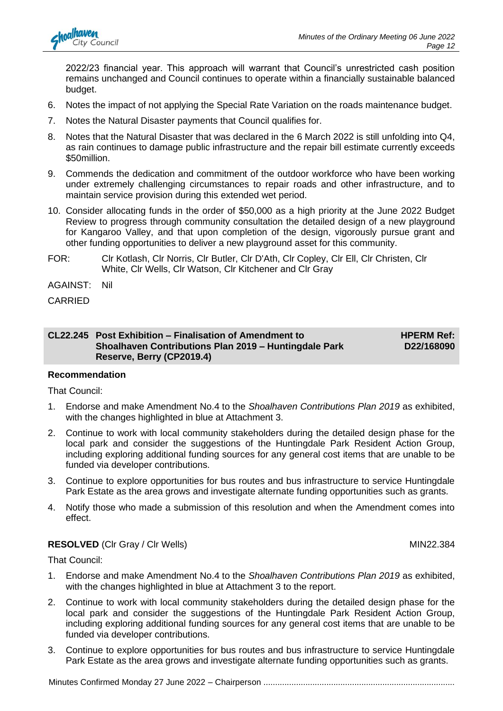

2022/23 financial year. This approach will warrant that Council's unrestricted cash position remains unchanged and Council continues to operate within a financially sustainable balanced budget.

- 6. Notes the impact of not applying the Special Rate Variation on the roads maintenance budget.
- 7. Notes the Natural Disaster payments that Council qualifies for.
- 8. Notes that the Natural Disaster that was declared in the 6 March 2022 is still unfolding into Q4, as rain continues to damage public infrastructure and the repair bill estimate currently exceeds \$50million.
- 9. Commends the dedication and commitment of the outdoor workforce who have been working under extremely challenging circumstances to repair roads and other infrastructure, and to maintain service provision during this extended wet period.
- 10. Consider allocating funds in the order of \$50,000 as a high priority at the June 2022 Budget Review to progress through community consultation the detailed design of a new playground for Kangaroo Valley, and that upon completion of the design, vigorously pursue grant and other funding opportunities to deliver a new playground asset for this community.
- FOR: Clr Kotlash, Clr Norris, Clr Butler, Clr D'Ath, Clr Copley, Clr Ell, Clr Christen, Clr White, Clr Wells, Clr Watson, Clr Kitchener and Clr Gray
- AGAINST: Nil

#### **CL22.245 Post Exhibition – Finalisation of Amendment to Shoalhaven Contributions Plan 2019 – Huntingdale Park Reserve, Berry (CP2019.4)**

**Recommendation**

That Council:

- 1. Endorse and make Amendment No.4 to the *Shoalhaven Contributions Plan 2019* as exhibited, with the changes highlighted in blue at Attachment 3.
- 2. Continue to work with local community stakeholders during the detailed design phase for the local park and consider the suggestions of the Huntingdale Park Resident Action Group, including exploring additional funding sources for any general cost items that are unable to be funded via developer contributions.
- 3. Continue to explore opportunities for bus routes and bus infrastructure to service Huntingdale Park Estate as the area grows and investigate alternate funding opportunities such as grants.
- 4. Notify those who made a submission of this resolution and when the Amendment comes into effect.

#### **RESOLVED** (CIr Gray / CIr Wells) MIN22.384

**HPERM Ref: D22/168090**

That Council:

- 1. Endorse and make Amendment No.4 to the *Shoalhaven Contributions Plan 2019* as exhibited, with the changes highlighted in blue at Attachment 3 to the report.
- 2. Continue to work with local community stakeholders during the detailed design phase for the local park and consider the suggestions of the Huntingdale Park Resident Action Group, including exploring additional funding sources for any general cost items that are unable to be funded via developer contributions.
- 3. Continue to explore opportunities for bus routes and bus infrastructure to service Huntingdale Park Estate as the area grows and investigate alternate funding opportunities such as grants.

CARRIED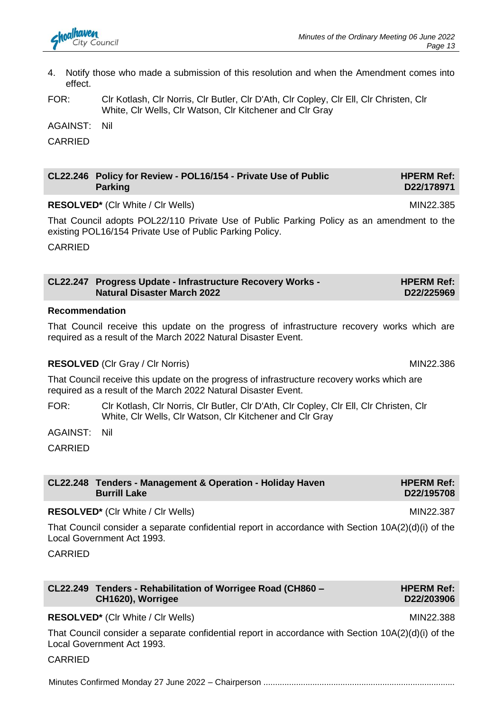- 4. Notify those who made a submission of this resolution and when the Amendment comes into effect.
- FOR: Clr Kotlash, Clr Norris, Clr Butler, Clr D'Ath, Clr Copley, Clr Ell, Clr Christen, Clr White, Clr Wells, Clr Watson, Clr Kitchener and Clr Gray

AGAINST: Nil

CARRIED

| CL22.246 Policy for Review - POL16/154 - Private Use of Public | <b>HPERM Ref:</b> |
|----------------------------------------------------------------|-------------------|
| <b>Parking</b>                                                 | D22/178971        |

**RESOLVED\*** (CIr White / CIr Wells) MIN22.385

That Council adopts POL22/110 Private Use of Public Parking Policy as an amendment to the existing POL16/154 Private Use of Public Parking Policy.

CARRIED

| CL22.247 Progress Update - Infrastructure Recovery Works - | <b>HPERM Ref:</b> |
|------------------------------------------------------------|-------------------|
| <b>Natural Disaster March 2022</b>                         | D22/225969        |

#### **Recommendation**

That Council receive this update on the progress of infrastructure recovery works which are required as a result of the March 2022 Natural Disaster Event.

#### **RESOLVED** (CIr Gray / CIr Norris) MIN22.386

That Council receive this update on the progress of infrastructure recovery works which are required as a result of the March 2022 Natural Disaster Event.

FOR: Clr Kotlash, Clr Norris, Clr Butler, Clr D'Ath, Clr Copley, Clr Ell, Clr Christen, Clr White, Clr Wells, Clr Watson, Clr Kitchener and Clr Gray

AGAINST: Nil

**CARRIED** 

| CL22.248 Tenders - Management & Operation - Holiday Haven | <b>HPERM Ref:</b> |
|-----------------------------------------------------------|-------------------|
| <b>Burrill Lake</b>                                       | D22/195708        |

**RESOLVED\*** (CIr White / CIr Wells) MIN22.387

That Council consider a separate confidential report in accordance with Section 10A(2)(d)(i) of the Local Government Act 1993.

CARRIED

| CL22.249 Tenders - Rehabilitation of Worrigee Road (CH860 – |
|-------------------------------------------------------------|
| CH1620), Worrigee                                           |

**RESOLVED\*** (CIr White / CIr Wells) MIN22.388

**HPERM Ref: D22/203906**

That Council consider a separate confidential report in accordance with Section 10A(2)(d)(i) of the Local Government Act 1993.

#### **CARRIED**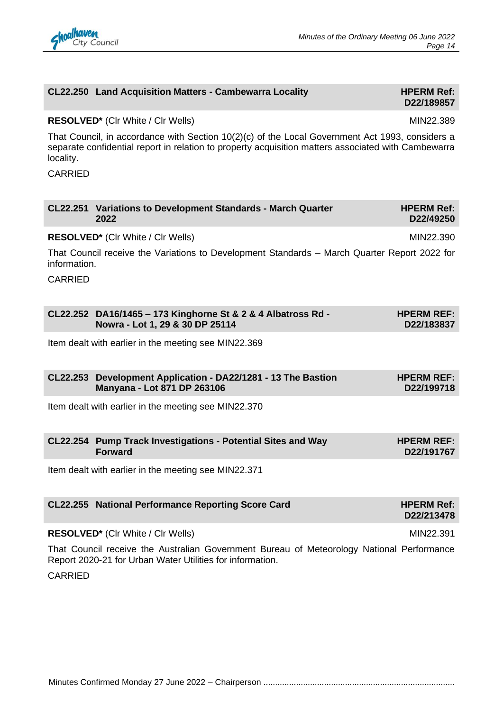#### **RESOLVED\*** (CIr White / CIr Wells) MIN22.389

That Council, in accordance with Section 10(2)(c) of the Local Government Act 1993, considers a separate confidential report in relation to property acquisition matters associated with Cambewarra locality.

CARRIED

|                | CL22.251 Variations to Development Standards - March Quarter<br>2022                            | <b>HPERM Ref:</b><br>D22/49250  |
|----------------|-------------------------------------------------------------------------------------------------|---------------------------------|
|                | <b>RESOLVED*</b> (CIr White / CIr Wells)                                                        | MIN22.390                       |
| information.   | That Council receive the Variations to Development Standards - March Quarter Report 2022 for    |                                 |
| <b>CARRIED</b> |                                                                                                 |                                 |
|                | CL22.252 DA16/1465 - 173 Kinghorne St & 2 & 4 Albatross Rd -<br>Nowra - Lot 1, 29 & 30 DP 25114 | <b>HPERM REF:</b><br>D22/183837 |
|                | Item dealt with earlier in the meeting see MIN22.369                                            |                                 |
|                | CL22.253 Development Application - DA22/1281 - 13 The Bastion<br>Manyana - Lot 871 DP 263106    | <b>HPERM REF:</b><br>D22/199718 |
|                | Item dealt with earlier in the meeting see MIN22.370                                            |                                 |
|                | CL22.254 Pump Track Investigations - Potential Sites and Way<br><b>Forward</b>                  | <b>HPERM REF:</b><br>D22/191767 |
|                | Item dealt with earlier in the meeting see MIN22.371                                            |                                 |
|                | <b>CL22.255 National Performance Reporting Score Card</b>                                       | <b>HPERM Ref:</b><br>D22/213478 |
|                | <b>RESOLVED*</b> (CIr White / CIr Wells)                                                        | MIN22.391                       |
|                | That Cauncil receive the Australian Covernment Rureau of Meteorology National Derformance       |                                 |

That Council receive the Australian Government Bureau of Meteorology National Performance Report 2020-21 for Urban Water Utilities for information.

CARRIED

**D22/189857**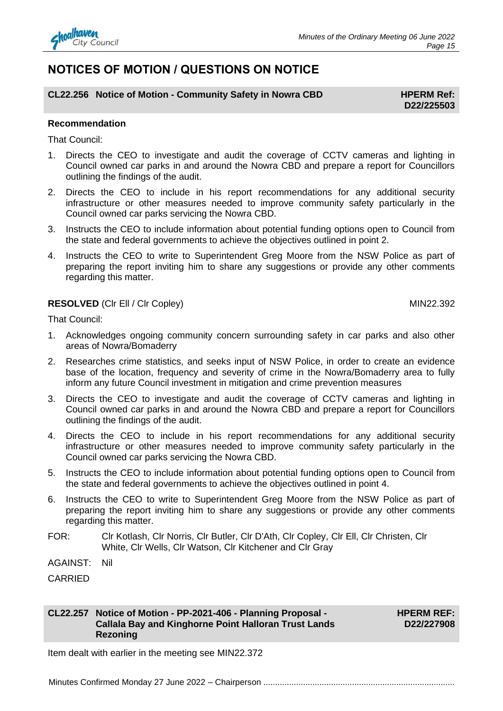

## **NOTICES OF MOTION / QUESTIONS ON NOTICE**

#### **CL22.256** Notice of Motion - Community Safety in Nowra CBD **HPERM Ref:**

**D22/225503**

#### **Recommendation**

That Council:

- 1. Directs the CEO to investigate and audit the coverage of CCTV cameras and lighting in Council owned car parks in and around the Nowra CBD and prepare a report for Councillors outlining the findings of the audit.
- 2. Directs the CEO to include in his report recommendations for any additional security infrastructure or other measures needed to improve community safety particularly in the Council owned car parks servicing the Nowra CBD.
- 3. Instructs the CEO to include information about potential funding options open to Council from the state and federal governments to achieve the objectives outlined in point 2.
- 4. Instructs the CEO to write to Superintendent Greg Moore from the NSW Police as part of preparing the report inviting him to share any suggestions or provide any other comments regarding this matter.

#### **RESOLVED** (CIr Ell / CIr Copley) MIN22.392

That Council:

- 1. Acknowledges ongoing community concern surrounding safety in car parks and also other areas of Nowra/Bomaderry
- 2. Researches crime statistics, and seeks input of NSW Police, in order to create an evidence base of the location, frequency and severity of crime in the Nowra/Bomaderry area to fully inform any future Council investment in mitigation and crime prevention measures
- 3. Directs the CEO to investigate and audit the coverage of CCTV cameras and lighting in Council owned car parks in and around the Nowra CBD and prepare a report for Councillors outlining the findings of the audit.
- 4. Directs the CEO to include in his report recommendations for any additional security infrastructure or other measures needed to improve community safety particularly in the Council owned car parks servicing the Nowra CBD.
- 5. Instructs the CEO to include information about potential funding options open to Council from the state and federal governments to achieve the objectives outlined in point 4.
- 6. Instructs the CEO to write to Superintendent Greg Moore from the NSW Police as part of preparing the report inviting him to share any suggestions or provide any other comments regarding this matter.
- FOR: Clr Kotlash, Clr Norris, Clr Butler, Clr D'Ath, Clr Copley, Clr Ell, Clr Christen, Clr White, Clr Wells, Clr Watson, Clr Kitchener and Clr Gray

AGAINST: Nil

CARRIED

#### **CL22.257 Notice of Motion - PP-2021-406 - Planning Proposal - Callala Bay and Kinghorne Point Halloran Trust Lands Rezoning**

**HPERM REF: D22/227908**

Item dealt with earlier in the meeting see MIN22.372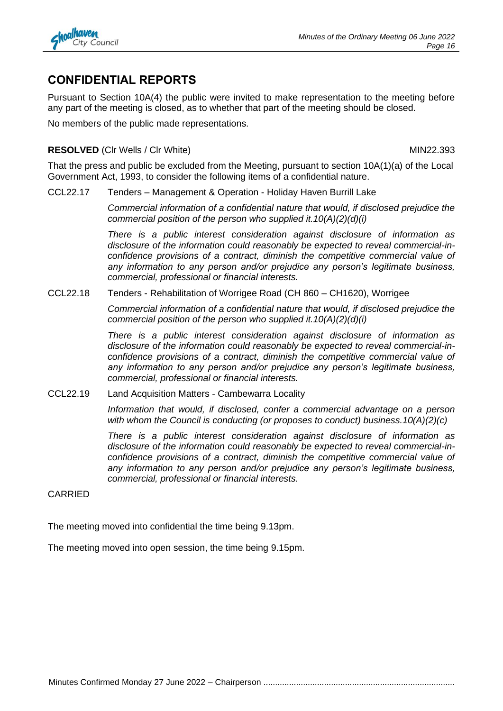

### **CONFIDENTIAL REPORTS**

Pursuant to Section 10A(4) the public were invited to make representation to the meeting before any part of the meeting is closed, as to whether that part of the meeting should be closed.

No members of the public made representations.

#### **RESOLVED** (CIr Wells / CIr White) MIN22.393

That the press and public be excluded from the Meeting, pursuant to section 10A(1)(a) of the Local Government Act, 1993, to consider the following items of a confidential nature.

CCL22.17 Tenders – Management & Operation - Holiday Haven Burrill Lake

*Commercial information of a confidential nature that would, if disclosed prejudice the commercial position of the person who supplied it.10(A)(2)(d)(i)*

*There is a public interest consideration against disclosure of information as disclosure of the information could reasonably be expected to reveal commercial-inconfidence provisions of a contract, diminish the competitive commercial value of any information to any person and/or prejudice any person's legitimate business, commercial, professional or financial interests.*

CCL22.18 Tenders - Rehabilitation of Worrigee Road (CH 860 – CH1620), Worrigee

*Commercial information of a confidential nature that would, if disclosed prejudice the commercial position of the person who supplied it.10(A)(2)(d)(i)*

*There is a public interest consideration against disclosure of information as disclosure of the information could reasonably be expected to reveal commercial-inconfidence provisions of a contract, diminish the competitive commercial value of any information to any person and/or prejudice any person's legitimate business, commercial, professional or financial interests.*

CCL22.19 Land Acquisition Matters - Cambewarra Locality

*Information that would, if disclosed, confer a commercial advantage on a person with whom the Council is conducting (or proposes to conduct) business.10(A)(2)(c)*

*There is a public interest consideration against disclosure of information as disclosure of the information could reasonably be expected to reveal commercial-inconfidence provisions of a contract, diminish the competitive commercial value of any information to any person and/or prejudice any person's legitimate business, commercial, professional or financial interests.*

CARRIED

The meeting moved into confidential the time being 9.13pm.

The meeting moved into open session, the time being 9.15pm.